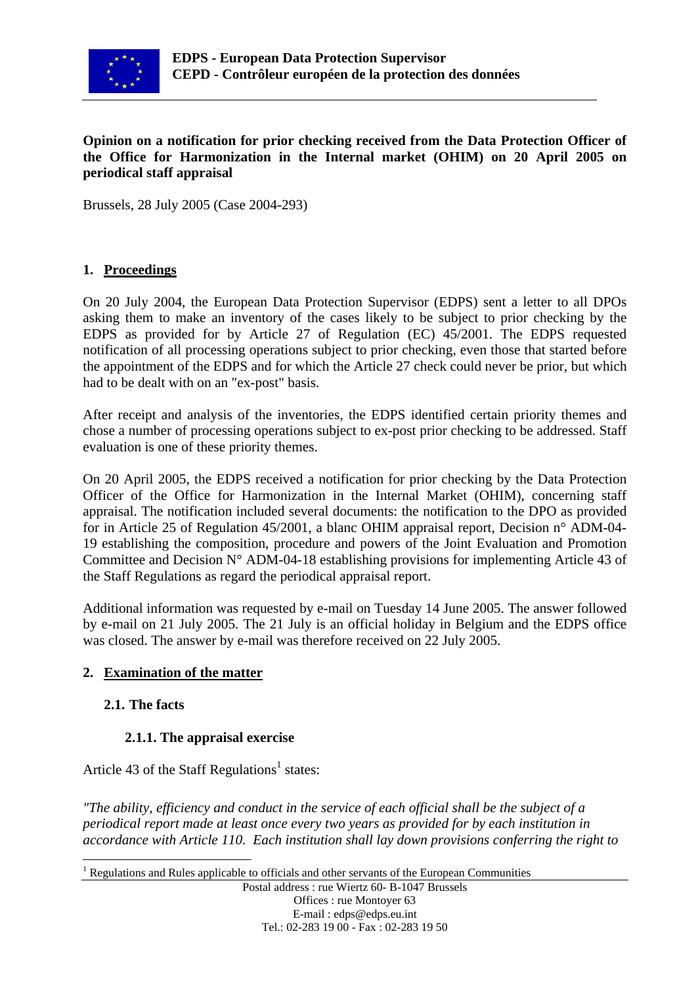

#### **Opinion on a notification for prior checking received from the Data Protection Officer of the Office for Harmonization in the Internal market (OHIM) on 20 April 2005 on periodical staff appraisal**

Brussels, 28 July 2005 (Case 2004-293)

### **1. Proceedings**

On 20 July 2004, the European Data Protection Supervisor (EDPS) sent a letter to all DPOs asking them to make an inventory of the cases likely to be subject to prior checking by the EDPS as provided for by Article 27 of Regulation (EC) 45/2001. The EDPS requested notification of all processing operations subject to prior checking, even those that started before the appointment of the EDPS and for which the Article 27 check could never be prior, but which had to be dealt with on an "ex-post" basis.

After receipt and analysis of the inventories, the EDPS identified certain priority themes and chose a number of processing operations subject to ex-post prior checking to be addressed. Staff evaluation is one of these priority themes.

On 20 April 2005, the EDPS received a notification for prior checking by the Data Protection Officer of the Office for Harmonization in the Internal Market (OHIM), concerning staff appraisal. The notification included several documents: the notification to the DPO as provided for in Article 25 of Regulation 45/2001, a blanc OHIM appraisal report, Decision n° ADM-04- 19 establishing the composition, procedure and powers of the Joint Evaluation and Promotion Committee and Decision  $N^{\circ}$  ADM-04-18 establishing provisions for implementing Article 43 of the Staff Regulations as regard the periodical appraisal report.

Additional information was requested by e-mail on Tuesday 14 June 2005. The answer followed by e-mail on 21 July 2005. The 21 July is an official holiday in Belgium and the EDPS office was closed. The answer by e-mail was therefore received on 22 July 2005.

### **2. Examination of the matter**

### **2.1. The facts**

### **2.1.1. The appraisal exercise**

Article 43 of the Staff Regulations<sup>[1](#page-0-0)</sup> states:

*"The ability, efficiency and conduct in the service of each official shall be the subject of a periodical report made at least once every two years as provided for by each institution in accordance with Article 110. Each institution shall lay down provisions conferring the right to* 

<span id="page-0-0"></span><sup>1</sup> Regulations and Rules applicable to officials and other servants of the European Communities

Postal address : rue Wiertz 60- B-1047 Brussels Offices : rue Montoyer 63 E-mail : edps@edps.eu.int Tel.: 02-283 19 00 - Fax : 02-283 19 50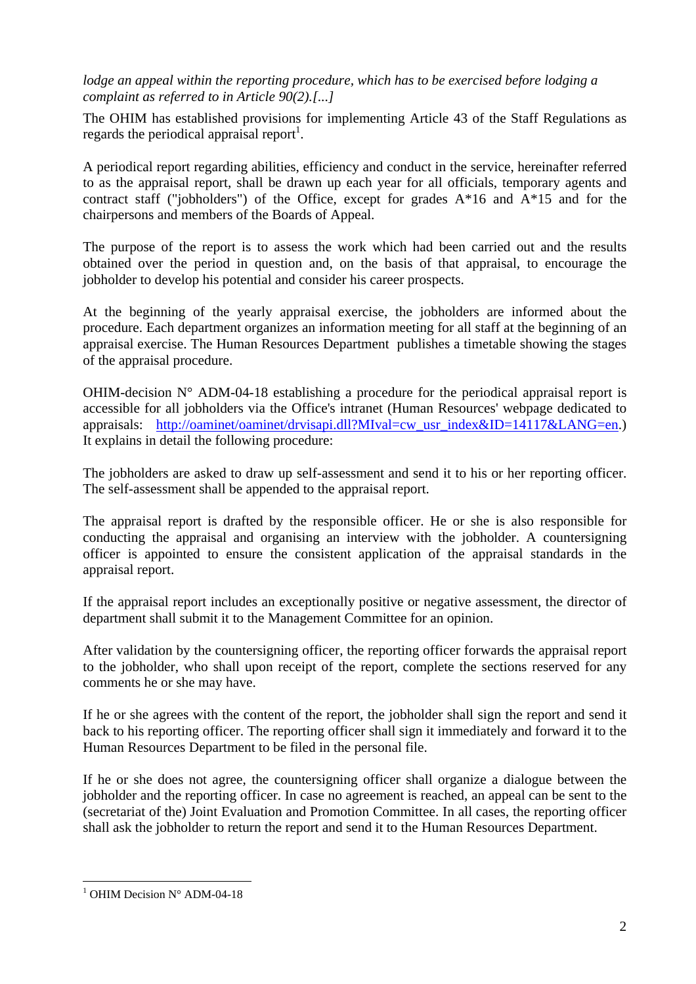*lodge an appeal within the reporting procedure, which has to be exercised before lodging a complaint as referred to in Article 90(2).[...]*

The OHIM has established provisions for implementing Article 43 of the Staff Regulations as regards the periodical appraisal report<sup>1</sup>.

A periodical report regarding abilities, efficiency and conduct in the service, hereinafter referred to as the appraisal report, shall be drawn up each year for all officials, temporary agents and contract staff ("jobholders") of the Office, except for grades  $A*16$  and  $A*15$  and for the chairpersons and members of the Boards of Appeal.

The purpose of the report is to assess the work which had been carried out and the results obtained over the period in question and, on the basis of that appraisal, to encourage the jobholder to develop his potential and consider his career prospects.

At the beginning of the yearly appraisal exercise, the jobholders are informed about the procedure. Each department organizes an information meeting for all staff at the beginning of an appraisal exercise. The Human Resources Department publishes a timetable showing the stages of the appraisal procedure.

OHIM-decision  $N^{\circ}$  ADM-04-18 establishing a procedure for the periodical appraisal report is accessible for all jobholders via the Office's intranet (Human Resources' webpage dedicated to appraisals: [http://oaminet/oaminet/drvisapi.dll?MIval=cw\\_usr\\_index&ID=14117&LANG=en.](http://oaminet/oaminet/drvisapi.dll?MIval=cw_usr_index&ID=14117&LANG=en)) It explains in detail the following procedure:

The jobholders are asked to draw up self-assessment and send it to his or her reporting officer. The self-assessment shall be appended to the appraisal report.

The appraisal report is drafted by the responsible officer. He or she is also responsible for conducting the appraisal and organising an interview with the jobholder. A countersigning officer is appointed to ensure the consistent application of the appraisal standards in the appraisal report.

If the appraisal report includes an exceptionally positive or negative assessment, the director of department shall submit it to the Management Committee for an opinion.

After validation by the countersigning officer, the reporting officer forwards the appraisal report to the jobholder, who shall upon receipt of the report, complete the sections reserved for any comments he or she may have.

If he or she agrees with the content of the report, the jobholder shall sign the report and send it back to his reporting officer. The reporting officer shall sign it immediately and forward it to the Human Resources Department to be filed in the personal file.

If he or she does not agree, the countersigning officer shall organize a dialogue between the jobholder and the reporting officer. In case no agreement is reached, an appeal can be sent to the (secretariat of the) Joint Evaluation and Promotion Committee. In all cases, the reporting officer shall ask the jobholder to return the report and send it to the Human Resources Department.

<span id="page-1-0"></span> $\overline{a}$ <sup>1</sup> OHIM Decision N° ADM-04-18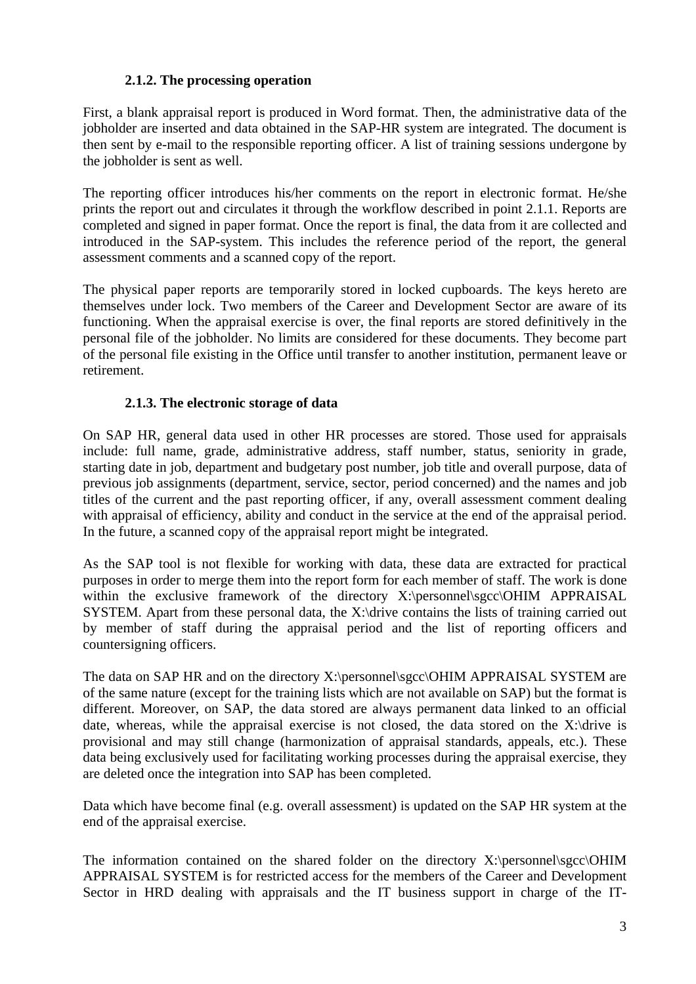### **2.1.2. The processing operation**

First, a blank appraisal report is produced in Word format. Then, the administrative data of the jobholder are inserted and data obtained in the SAP-HR system are integrated. The document is then sent by e-mail to the responsible reporting officer. A list of training sessions undergone by the jobholder is sent as well.

The reporting officer introduces his/her comments on the report in electronic format. He/she prints the report out and circulates it through the workflow described in point 2.1.1. Reports are completed and signed in paper format. Once the report is final, the data from it are collected and introduced in the SAP-system. This includes the reference period of the report, the general assessment comments and a scanned copy of the report.

The physical paper reports are temporarily stored in locked cupboards. The keys hereto are themselves under lock. Two members of the Career and Development Sector are aware of its functioning. When the appraisal exercise is over, the final reports are stored definitively in the personal file of the jobholder. No limits are considered for these documents. They become part of the personal file existing in the Office until transfer to another institution, permanent leave or retirement.

### **2.1.3. The electronic storage of data**

On SAP HR, general data used in other HR processes are stored. Those used for appraisals include: full name, grade, administrative address, staff number, status, seniority in grade, starting date in job, department and budgetary post number, job title and overall purpose, data of previous job assignments (department, service, sector, period concerned) and the names and job titles of the current and the past reporting officer, if any, overall assessment comment dealing with appraisal of efficiency, ability and conduct in the service at the end of the appraisal period. In the future, a scanned copy of the appraisal report might be integrated.

As the SAP tool is not flexible for working with data, these data are extracted for practical purposes in order to merge them into the report form for each member of staff. The work is done within the exclusive framework of the directory X:\personnel\sgcc\OHIM APPRAISAL SYSTEM. Apart from these personal data, the X:\drive contains the lists of training carried out by member of staff during the appraisal period and the list of reporting officers and countersigning officers.

The data on SAP HR and on the directory X:\personnel\sgcc\OHIM APPRAISAL SYSTEM are of the same nature (except for the training lists which are not available on SAP) but the format is different. Moreover, on SAP, the data stored are always permanent data linked to an official date, whereas, while the appraisal exercise is not closed, the data stored on the X:\drive is provisional and may still change (harmonization of appraisal standards, appeals, etc.). These data being exclusively used for facilitating working processes during the appraisal exercise, they are deleted once the integration into SAP has been completed.

Data which have become final (e.g. overall assessment) is updated on the SAP HR system at the end of the appraisal exercise.

The information contained on the shared folder on the directory X:\personnel\sgcc\OHIM APPRAISAL SYSTEM is for restricted access for the members of the Career and Development Sector in HRD dealing with appraisals and the IT business support in charge of the IT-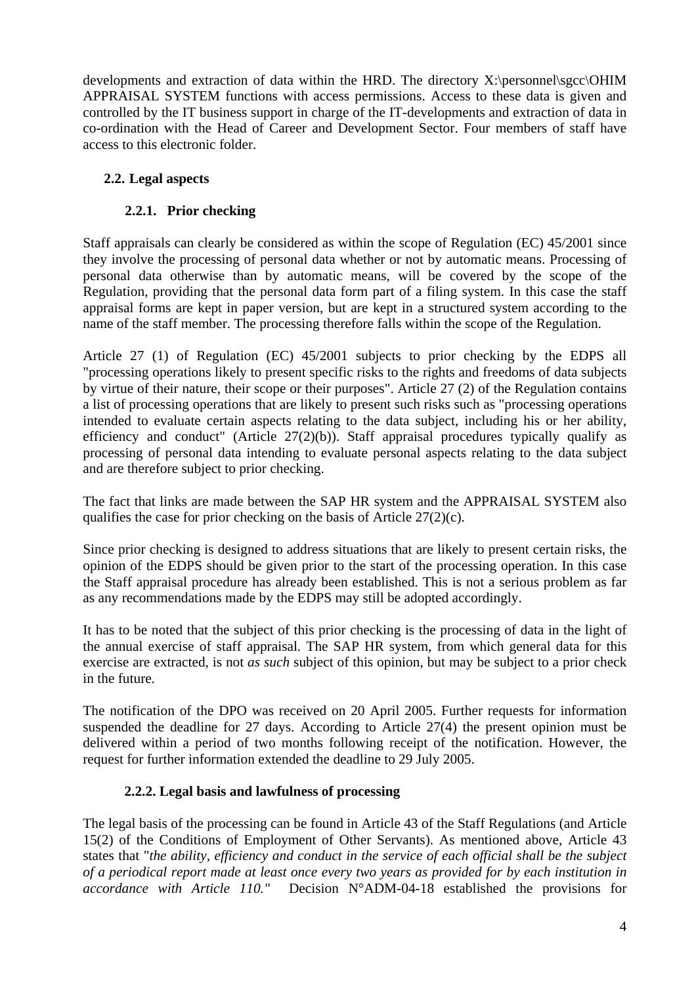developments and extraction of data within the HRD. The directory X:\personnel\sgcc\OHIM APPRAISAL SYSTEM functions with access permissions. Access to these data is given and controlled by the IT business support in charge of the IT-developments and extraction of data in co-ordination with the Head of Career and Development Sector. Four members of staff have access to this electronic folder.

# **2.2. Legal aspects**

### **2.2.1. Prior checking**

Staff appraisals can clearly be considered as within the scope of Regulation (EC) 45/2001 since they involve the processing of personal data whether or not by automatic means. Processing of personal data otherwise than by automatic means, will be covered by the scope of the Regulation, providing that the personal data form part of a filing system. In this case the staff appraisal forms are kept in paper version, but are kept in a structured system according to the name of the staff member. The processing therefore falls within the scope of the Regulation.

Article 27 (1) of Regulation (EC) 45/2001 subjects to prior checking by the EDPS all "processing operations likely to present specific risks to the rights and freedoms of data subjects by virtue of their nature, their scope or their purposes". Article 27 (2) of the Regulation contains a list of processing operations that are likely to present such risks such as "processing operations intended to evaluate certain aspects relating to the data subject, including his or her ability, efficiency and conduct" (Article  $27(2)(b)$ ). Staff appraisal procedures typically qualify as processing of personal data intending to evaluate personal aspects relating to the data subject and are therefore subject to prior checking.

The fact that links are made between the SAP HR system and the APPRAISAL SYSTEM also qualifies the case for prior checking on the basis of Article 27(2)(c).

Since prior checking is designed to address situations that are likely to present certain risks, the opinion of the EDPS should be given prior to the start of the processing operation. In this case the Staff appraisal procedure has already been established. This is not a serious problem as far as any recommendations made by the EDPS may still be adopted accordingly.

It has to be noted that the subject of this prior checking is the processing of data in the light of the annual exercise of staff appraisal. The SAP HR system, from which general data for this exercise are extracted, is not *as such* subject of this opinion, but may be subject to a prior check in the future.

The notification of the DPO was received on 20 April 2005. Further requests for information suspended the deadline for 27 days. According to Article 27(4) the present opinion must be delivered within a period of two months following receipt of the notification. However, the request for further information extended the deadline to 29 July 2005.

### **2.2.2. Legal basis and lawfulness of processing**

The legal basis of the processing can be found in Article 43 of the Staff Regulations (and Article 15(2) of the Conditions of Employment of Other Servants). As mentioned above, Article 43 states that "*the ability, efficiency and conduct in the service of each official shall be the subject of a periodical report made at least once every two years as provided for by each institution in accordance with Article 110."* Decision N°ADM-04-18 established the provisions for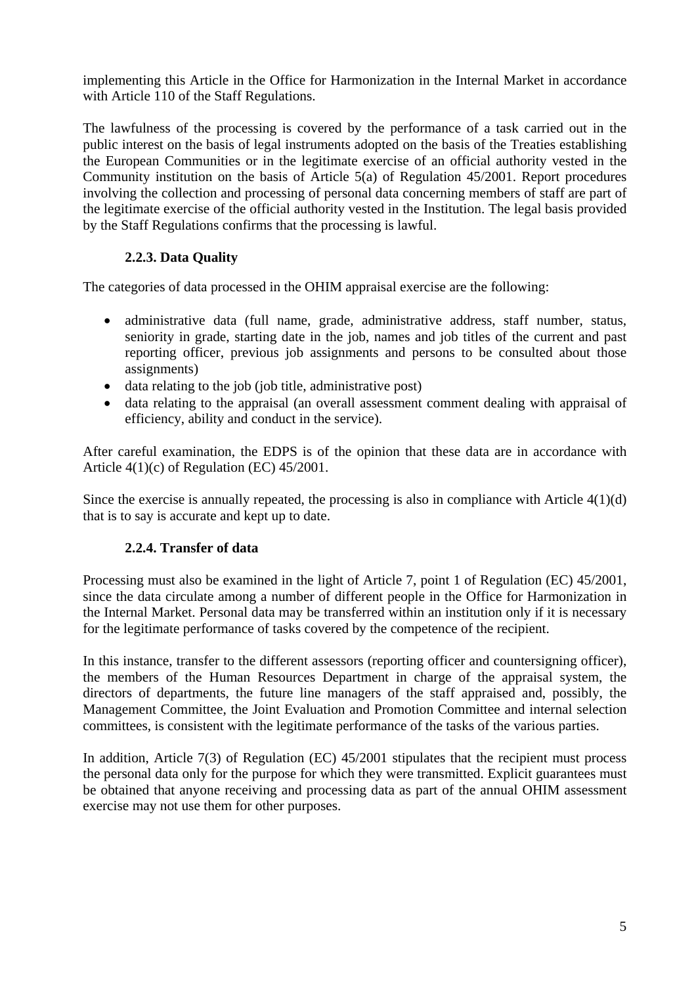implementing this Article in the Office for Harmonization in the Internal Market in accordance with Article 110 of the Staff Regulations.

The lawfulness of the processing is covered by the performance of a task carried out in the public interest on the basis of legal instruments adopted on the basis of the Treaties establishing the European Communities or in the legitimate exercise of an official authority vested in the Community institution on the basis of Article 5(a) of Regulation 45/2001. Report procedures involving the collection and processing of personal data concerning members of staff are part of the legitimate exercise of the official authority vested in the Institution. The legal basis provided by the Staff Regulations confirms that the processing is lawful.

# **2.2.3. Data Quality**

The categories of data processed in the OHIM appraisal exercise are the following:

- administrative data (full name, grade, administrative address, staff number, status, seniority in grade, starting date in the job, names and job titles of the current and past reporting officer, previous job assignments and persons to be consulted about those assignments)
- data relating to the job (job title, administrative post)
- data relating to the appraisal (an overall assessment comment dealing with appraisal of efficiency, ability and conduct in the service).

After careful examination, the EDPS is of the opinion that these data are in accordance with Article 4(1)(c) of Regulation (EC) 45/2001.

Since the exercise is annually repeated, the processing is also in compliance with Article 4(1)(d) that is to say is accurate and kept up to date.

# **2.2.4. Transfer of data**

Processing must also be examined in the light of Article 7, point 1 of Regulation (EC) 45/2001, since the data circulate among a number of different people in the Office for Harmonization in the Internal Market. Personal data may be transferred within an institution only if it is necessary for the legitimate performance of tasks covered by the competence of the recipient.

In this instance, transfer to the different assessors (reporting officer and countersigning officer), the members of the Human Resources Department in charge of the appraisal system, the directors of departments, the future line managers of the staff appraised and, possibly, the Management Committee, the Joint Evaluation and Promotion Committee and internal selection committees, is consistent with the legitimate performance of the tasks of the various parties.

In addition, Article 7(3) of Regulation (EC) 45/2001 stipulates that the recipient must process the personal data only for the purpose for which they were transmitted. Explicit guarantees must be obtained that anyone receiving and processing data as part of the annual OHIM assessment exercise may not use them for other purposes.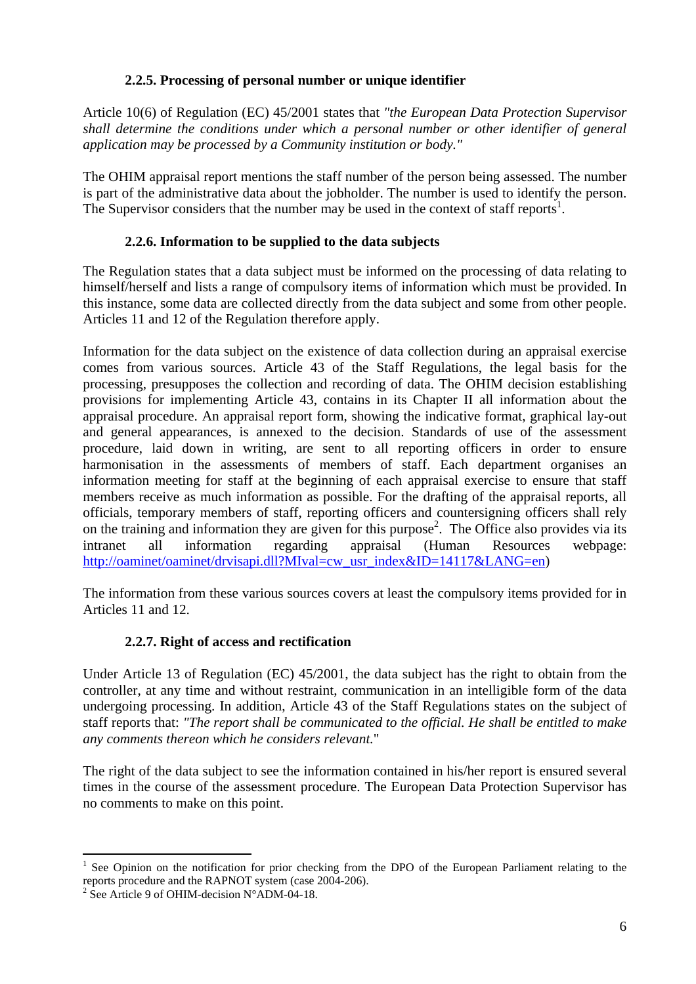### **2.2.5. Processing of personal number or unique identifier**

Article 10(6) of Regulation (EC) 45/2001 states that *"the European Data Protection Supervisor shall determine the conditions under which a personal number or other identifier of general application may be processed by a Community institution or body."*

The OHIM appraisal report mentions the staff number of the person being assessed. The number is part of the administrative data about the jobholder. The number is used to identify the person. The Supervisor considers that the number may be used in the context of staff reports<sup>1</sup>.

# **2.2.6. Information to be supplied to the data subjects**

The Regulation states that a data subject must be informed on the processing of data relating to himself/herself and lists a range of compulsory items of information which must be provided. In this instance, some data are collected directly from the data subject and some from other people. Articles 11 and 12 of the Regulation therefore apply.

Information for the data subject on the existence of data collection during an appraisal exercise comes from various sources. Article 43 of the Staff Regulations, the legal basis for the processing, presupposes the collection and recording of data. The OHIM decision establishing provisions for implementing Article 43, contains in its Chapter II all information about the appraisal procedure. An appraisal report form, showing the indicative format, graphical lay-out and general appearances, is annexed to the decision. Standards of use of the assessment procedure, laid down in writing, are sent to all reporting officers in order to ensure harmonisation in the assessments of members of staff. Each department organises an information meeting for staff at the beginning of each appraisal exercise to ensure that staff members receive as much information as possible. For the drafting of the appraisal reports, all officials, temporary members of staff, reporting officers and countersigning officers shall rely on the training and information they are given for this purpose<sup>2</sup>. The Office also provides via its intranet all information regarding appraisal (Human Resources webpage: [http://oaminet/oaminet/drvisapi.dll?MIval=cw\\_usr\\_index&ID=14117&LANG=en](http://oaminet/oaminet/drvisapi.dll?MIval=cw_usr_index&ID=14117&LANG=en))

The information from these various sources covers at least the compulsory items provided for in Articles 11 and 12.

# **2.2.7. Right of access and rectification**

Under Article 13 of Regulation (EC) 45/2001, the data subject has the right to obtain from the controller, at any time and without restraint, communication in an intelligible form of the data undergoing processing. In addition, Article 43 of the Staff Regulations states on the subject of staff reports that: *"The report shall be communicated to the official. He shall be entitled to make any comments thereon which he considers relevant.*"

The right of the data subject to see the information contained in his/her report is ensured several times in the course of the assessment procedure. The European Data Protection Supervisor has no comments to make on this point.

 $\overline{a}$ 

<span id="page-5-0"></span><sup>&</sup>lt;sup>1</sup> See Opinion on the notification for prior checking from the DPO of the European Parliament relating to the reports procedure and the RAPNOT system (case 2004-206).

<span id="page-5-1"></span><sup>&</sup>lt;sup>2</sup> See Article 9 of OHIM-decision  $N^{\circ}$ ADM-04-18.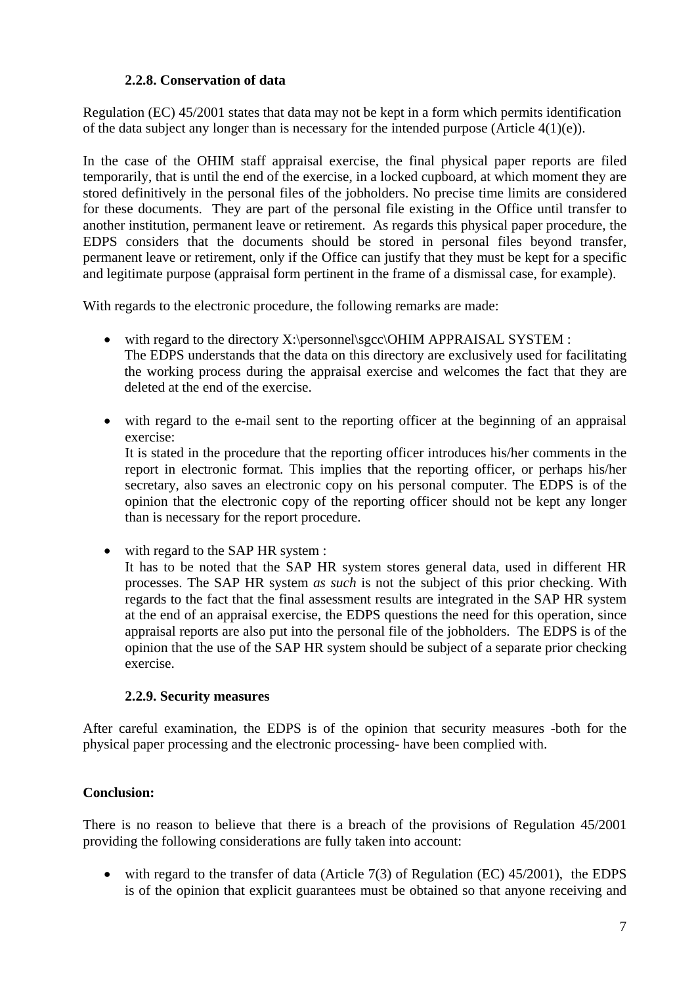### **2.2.8. Conservation of data**

Regulation (EC) 45/2001 states that data may not be kept in a form which permits identification of the data subject any longer than is necessary for the intended purpose (Article 4(1)(e)).

In the case of the OHIM staff appraisal exercise, the final physical paper reports are filed temporarily, that is until the end of the exercise, in a locked cupboard, at which moment they are stored definitively in the personal files of the jobholders. No precise time limits are considered for these documents. They are part of the personal file existing in the Office until transfer to another institution, permanent leave or retirement. As regards this physical paper procedure, the EDPS considers that the documents should be stored in personal files beyond transfer, permanent leave or retirement, only if the Office can justify that they must be kept for a specific and legitimate purpose (appraisal form pertinent in the frame of a dismissal case, for example).

With regards to the electronic procedure, the following remarks are made:

- with regard to the directory X:\personnel\sgcc\OHIM APPRAISAL SYSTEM : The EDPS understands that the data on this directory are exclusively used for facilitating the working process during the appraisal exercise and welcomes the fact that they are deleted at the end of the exercise.
- with regard to the e-mail sent to the reporting officer at the beginning of an appraisal exercise:

It is stated in the procedure that the reporting officer introduces his/her comments in the report in electronic format. This implies that the reporting officer, or perhaps his/her secretary, also saves an electronic copy on his personal computer. The EDPS is of the opinion that the electronic copy of the reporting officer should not be kept any longer than is necessary for the report procedure.

• with regard to the SAP HR system :

It has to be noted that the SAP HR system stores general data, used in different HR processes. The SAP HR system *as such* is not the subject of this prior checking. With regards to the fact that the final assessment results are integrated in the SAP HR system at the end of an appraisal exercise, the EDPS questions the need for this operation, since appraisal reports are also put into the personal file of the jobholders. The EDPS is of the opinion that the use of the SAP HR system should be subject of a separate prior checking exercise.

#### **2.2.9. Security measures**

After careful examination, the EDPS is of the opinion that security measures -both for the physical paper processing and the electronic processing- have been complied with.

### **Conclusion:**

There is no reason to believe that there is a breach of the provisions of Regulation 45/2001 providing the following considerations are fully taken into account:

• with regard to the transfer of data (Article 7(3) of Regulation (EC) 45/2001), the EDPS is of the opinion that explicit guarantees must be obtained so that anyone receiving and